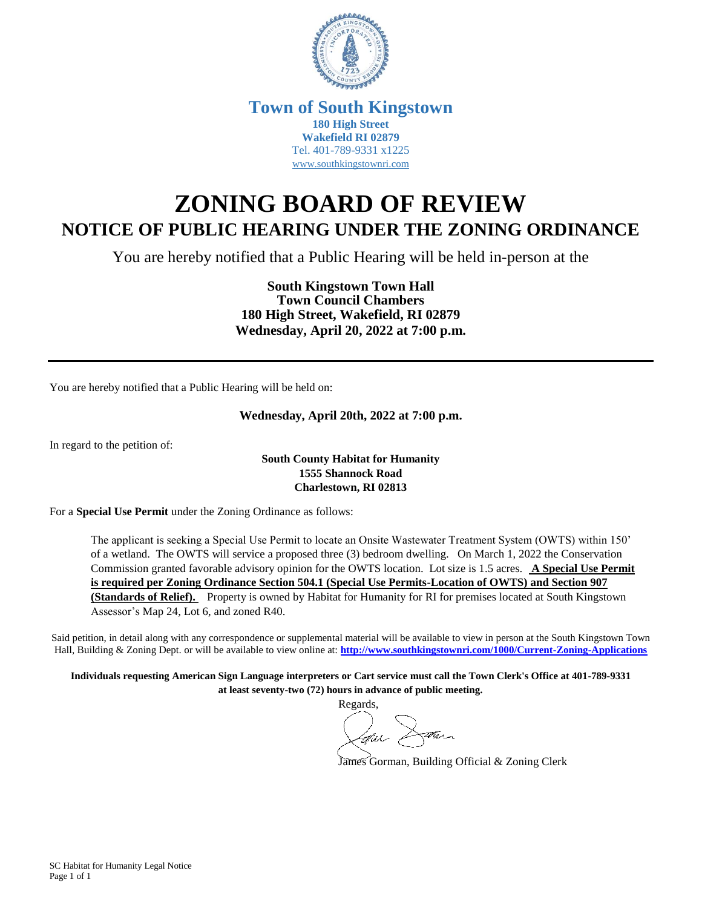

# **Town of South Kingstown 180 High Street Wakefield RI 02879** Tel. 401-789-9331 x1225 [www.southkingstownri.com](http://www.southkingstownri.com/)

# **ZONING BOARD OF REVIEW NOTICE OF PUBLIC HEARING UNDER THE ZONING ORDINANCE**

You are hereby notified that a Public Hearing will be held in-person at the

**South Kingstown Town Hall Town Council Chambers 180 High Street, Wakefield, RI 02879 Wednesday, April 20, 2022 at 7:00 p.m.**

You are hereby notified that a Public Hearing will be held on:

### **Wednesday, April 20th, 2022 at 7:00 p.m.**

In regard to the petition of:

#### **South County Habitat for Humanity 1555 Shannock Road Charlestown, RI 02813**

For a **Special Use Permit** under the Zoning Ordinance as follows:

The applicant is seeking a Special Use Permit to locate an Onsite Wastewater Treatment System (OWTS) within 150' of a wetland. The OWTS will service a proposed three (3) bedroom dwelling. On March 1, 2022 the Conservation Commission granted favorable advisory opinion for the OWTS location. Lot size is 1.5 acres. **A Special Use Permit is required per Zoning Ordinance Section 504.1 (Special Use Permits-Location of OWTS) and Section 907 (Standards of Relief).** Property is owned by Habitat for Humanity for RI for premises located at South Kingstown Assessor's Map 24, Lot 6, and zoned R40.

Said petition, in detail along with any correspondence or supplemental material will be available to view in person at the South Kingstown Town Hall, Building & Zoning Dept. or will be available to view online at: **<http://www.southkingstownri.com/1000/Current-Zoning-Applications>**

**Individuals requesting American Sign Language interpreters or Cart service must call the Town Clerk's Office at 401-789-9331 at least seventy-two (72) hours in advance of public meeting.**

Regards,

James Gorman, Building Official & Zoning Clerk